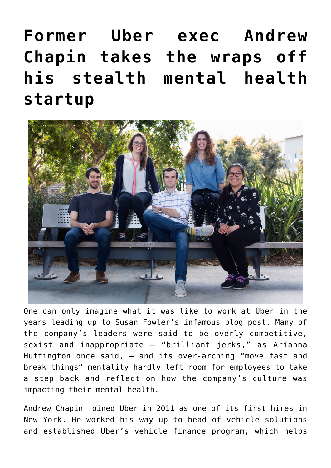## **[Former Uber exec Andrew](https://danielbrooksmoore.com/nowsthetime/2018/10/16/former-uber-exec-andrew-chapin-takes-the-wraps-off-his-stealth-mental-health-startup/) [Chapin takes the wraps off](https://danielbrooksmoore.com/nowsthetime/2018/10/16/former-uber-exec-andrew-chapin-takes-the-wraps-off-his-stealth-mental-health-startup/) [his stealth mental health](https://danielbrooksmoore.com/nowsthetime/2018/10/16/former-uber-exec-andrew-chapin-takes-the-wraps-off-his-stealth-mental-health-startup/) [startup](https://danielbrooksmoore.com/nowsthetime/2018/10/16/former-uber-exec-andrew-chapin-takes-the-wraps-off-his-stealth-mental-health-startup/)**



One can only imagine what it was like to work at Uber in the years leading up to [Susan Fowler's infamous blog post.](https://techcrunch.com/2017/02/19/former-uber-engineer-says-company-ignored-repeated-reports-of-harassment/) Many of the company's leaders were said to be overly competitive, sexist and inappropriate — "brilliant jerks," as Arianna Huffington once said, — and its over-arching "move fast and break things" mentality hardly left room for employees to take a step back and reflect on how the company's culture was impacting their mental health.

[Andrew Chapin](https://www.linkedin.com/in/andrewchapin/) joined Uber in 2011 as one of its first hires in New York. He worked his way up to head of vehicle solutions and established Uber's vehicle finance program, which helps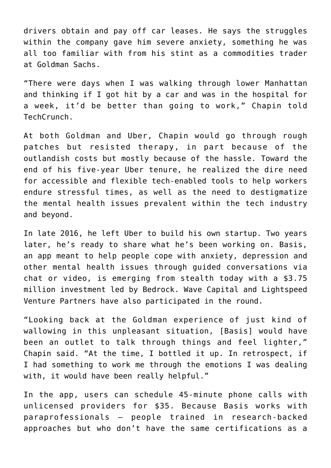drivers obtain and pay off car leases. He says the struggles within the company gave him severe anxiety, something he was all too familiar with from his stint as a commodities trader at Goldman Sachs.

"There were days when I was walking through lower Manhattan and thinking if I got hit by a car and was in the hospital for a week, it'd be better than going to work," Chapin told TechCrunch.

At both Goldman and Uber, Chapin would go through rough patches but resisted therapy, in part because of the outlandish costs but mostly because of the hassle. Toward the end of his five-year Uber tenure, he realized the dire need for accessible and flexible tech-enabled tools to help workers endure stressful times, as well as the need to destigmatize the mental health issues prevalent within the tech industry and beyond.

In late 2016, he left Uber to build his own startup. Two years later, he's ready to share what he's been working on. [Basis,](https://www.mybasis.com/) an app meant to help people cope with anxiety, depression and other mental health issues through guided conversations via chat or video, is emerging from stealth today with a \$3.75 million investment led by Bedrock. Wave Capital and Lightspeed Venture Partners have also participated in the round.

"Looking back at the Goldman experience of just kind of wallowing in this unpleasant situation, [Basis] would have been an outlet to talk through things and feel lighter," Chapin said. "At the time, I bottled it up. In retrospect, if I had something to work me through the emotions I was dealing with, it would have been really helpful."

In the app, users can schedule 45-minute phone calls with unlicensed providers for \$35. Because Basis works with paraprofessionals — people trained in research-backed approaches but who don't have the same certifications as a